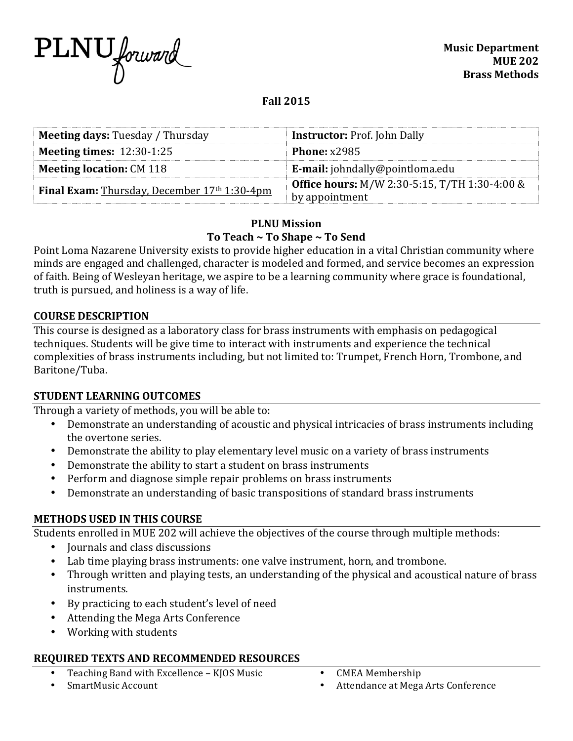

# **Fall 2015**

| <b>Meeting days: Tuesday / Thursday</b>               | <b>Instructor: Prof. John Dally</b>                  |
|-------------------------------------------------------|------------------------------------------------------|
| <b>Meeting times: 12:30-1:25</b>                      | Phone: $x2985$                                       |
| <b>Meeting location: CM 118</b>                       | <b>E-mail:</b> johndally@pointloma.edu               |
| <b>Final Exam:</b> Thursday, December $17th 1:30-4pm$ | <b>Office hours:</b> M/W 2:30-5:15, T/TH 1:30-4:00 & |
|                                                       | by appointment                                       |

# **PLNU Mission** To Teach ~ To Shape ~ To Send

Point Loma Nazarene University exists to provide higher education in a vital Christian community where minds are engaged and challenged, character is modeled and formed, and service becomes an expression of faith. Being of Wesleyan heritage, we aspire to be a learning community where grace is foundational, truth is pursued, and holiness is a way of life.

#### **COURSE DESCRIPTION**

This course is designed as a laboratory class for brass instruments with emphasis on pedagogical techniques. Students will be give time to interact with instruments and experience the technical complexities of brass instruments including, but not limited to: Trumpet, French Horn, Trombone, and Baritone/Tuba.

#### **STUDENT LEARNING OUTCOMES**

Through a variety of methods, you will be able to:

- Demonstrate an understanding of acoustic and physical intricacies of brass instruments including the overtone series.
- Demonstrate the ability to play elementary level music on a variety of brass instruments
- Demonstrate the ability to start a student on brass instruments
- Perform and diagnose simple repair problems on brass instruments
- Demonstrate an understanding of basic transpositions of standard brass instruments

## **METHODS USED IN THIS COURSE**

Students enrolled in MUE 202 will achieve the objectives of the course through multiple methods:

- Journals and class discussions
- Lab time playing brass instruments: one valve instrument, horn, and trombone.
- Through written and playing tests, an understanding of the physical and acoustical nature of brass instruments.
- By practicing to each student's level of need
- Attending the Mega Arts Conference
- Working with students

## **REQUIRED TEXTS AND RECOMMENDED RESOURCES**

- Teaching Band with Excellence KJOS Music
- SmartMusic Account
- CMEA Membership
- Attendance at Mega Arts Conference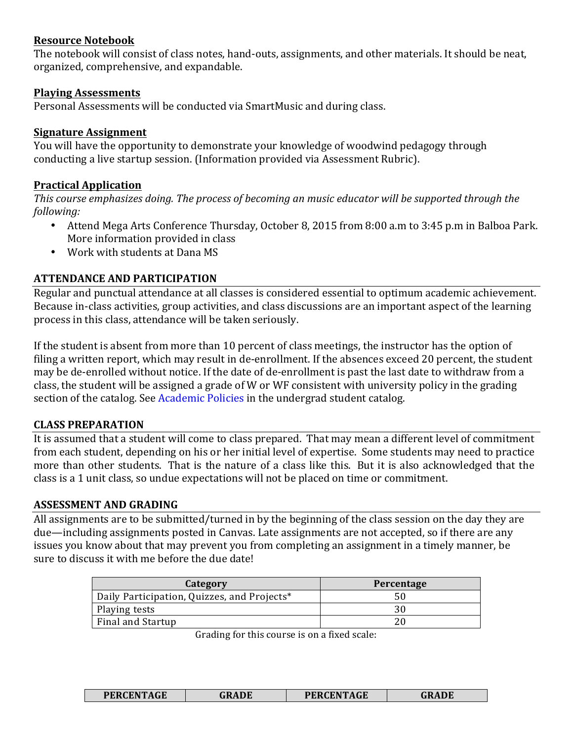#### **Resource Notebook**

The notebook will consist of class notes, hand-outs, assignments, and other materials. It should be neat, organized, comprehensive, and expandable.

#### **Playing Assessments**

Personal Assessments will be conducted via SmartMusic and during class.

### **Signature Assignment**

You will have the opportunity to demonstrate your knowledge of woodwind pedagogy through conducting a live startup session. (Information provided via Assessment Rubric).

### **Practical Application**

*This course emphasizes doing. The process of becoming an music educator will be supported through the following:*

- Attend Mega Arts Conference Thursday, October 8, 2015 from 8:00 a.m to 3:45 p.m in Balboa Park. More information provided in class
- Work with students at Dana MS

## **ATTENDANCE AND PARTICIPATION**

Regular and punctual attendance at all classes is considered essential to optimum academic achievement. Because in-class activities, group activities, and class discussions are an important aspect of the learning process in this class, attendance will be taken seriously.

If the student is absent from more than 10 percent of class meetings, the instructor has the option of filing a written report, which may result in de-enrollment. If the absences exceed 20 percent, the student may be de-enrolled without notice. If the date of de-enrollment is past the last date to withdraw from a class, the student will be assigned a grade of W or WF consistent with university policy in the grading section of the catalog. See Academic Policies in the undergrad student catalog.

## **CLASS PREPARATION**

It is assumed that a student will come to class prepared. That may mean a different level of commitment from each student, depending on his or her initial level of expertise. Some students may need to practice more than other students. That is the nature of a class like this. But it is also acknowledged that the class is a 1 unit class, so undue expectations will not be placed on time or commitment.

#### **ASSESSMENT AND GRADING**

All assignments are to be submitted/turned in by the beginning of the class session on the day they are due—including assignments posted in Canvas. Late assignments are not accepted, so if there are any issues you know about that may prevent you from completing an assignment in a timely manner, be sure to discuss it with me before the due date!

| Category                                    | Percentage |
|---------------------------------------------|------------|
| Daily Participation, Quizzes, and Projects* |            |
| Playing tests                               |            |
| Final and Startup                           |            |

Grading for this course is on a fixed scale:

| <b>PERCENTAGE</b><br>ADE<br>1 KADE | <b>PERCENTAGE</b> |  |
|------------------------------------|-------------------|--|
|------------------------------------|-------------------|--|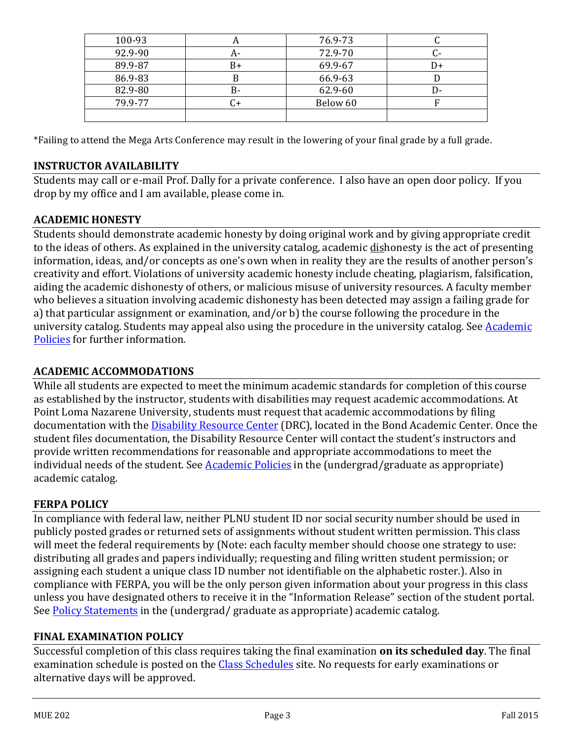| 100-93  | n  | 76.9-73  |    |
|---------|----|----------|----|
| 92.9-90 | А- | 72.9-70  |    |
| 89.9-87 | B+ | 69.9-67  | D+ |
| 86.9-83 | в  | 66.9-63  |    |
| 82.9-80 | B- | 62.9-60  | D- |
| 79.9-77 |    | Below 60 |    |
|         |    |          |    |

\*Failing to attend the Mega Arts Conference may result in the lowering of your final grade by a full grade.

## **INSTRUCTOR AVAILABILITY**

Students may call or e-mail Prof. Dally for a private conference. I also have an open door policy. If you drop by my office and I am available, please come in.

## **ACADEMIC HONESTY**

Students should demonstrate academic honesty by doing original work and by giving appropriate credit to the ideas of others. As explained in the university catalog, academic dishonesty is the act of presenting information, ideas, and/or concepts as one's own when in reality they are the results of another person's creativity and effort. Violations of university academic honesty include cheating, plagiarism, falsification, aiding the academic dishonesty of others, or malicious misuse of university resources. A faculty member who believes a situation involving academic dishonesty has been detected may assign a failing grade for a) that particular assignment or examination, and/or b) the course following the procedure in the university catalog. Students may appeal also using the procedure in the university catalog. See Academic Policies for further information.

# **ACADEMIC ACCOMMODATIONS**

While all students are expected to meet the minimum academic standards for completion of this course as established by the instructor, students with disabilities may request academic accommodations. At Point Loma Nazarene University, students must request that academic accommodations by filing documentation with the Disability Resource Center (DRC), located in the Bond Academic Center. Once the student files documentation, the Disability Resource Center will contact the student's instructors and provide written recommendations for reasonable and appropriate accommodations to meet the individual needs of the student. See Academic Policies in the (undergrad/graduate as appropriate) academic catalog.

## **FERPA POLICY**

In compliance with federal law, neither PLNU student ID nor social security number should be used in publicly posted grades or returned sets of assignments without student written permission. This class will meet the federal requirements by (Note: each faculty member should choose one strategy to use: distributing all grades and papers individually; requesting and filing written student permission; or assigning each student a unique class ID number not identifiable on the alphabetic roster.). Also in compliance with FERPA, you will be the only person given information about your progress in this class unless you have designated others to receive it in the "Information Release" section of the student portal. See Policy Statements in the (undergrad/ graduate as appropriate) academic catalog.

#### **FINAL EXAMINATION POLICY**

Successful completion of this class requires taking the final examination **on its scheduled day**. The final examination schedule is posted on the Class Schedules site. No requests for early examinations or alternative days will be approved.